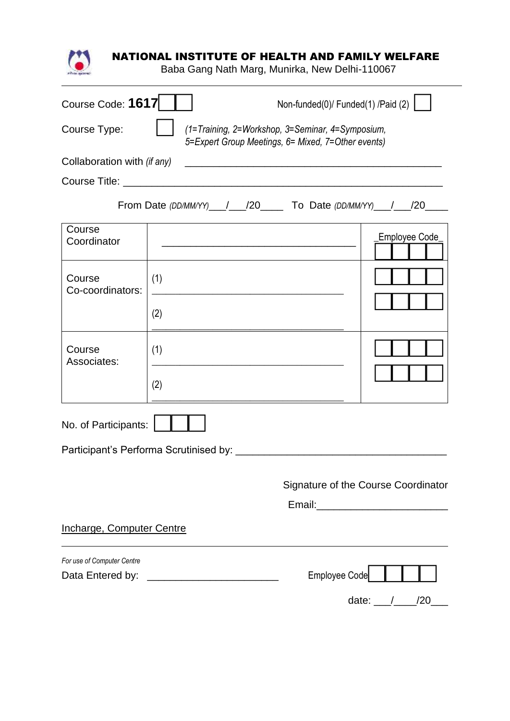

## NATIONAL INSTITUTE OF HEALTH AND FAMILY WELFARE

Baba Gang Nath Marg, Munirka, New Delhi-110067

| Course Code: 1617           |     |                                                                                                                       | Non-funded(0)/ Funded(1) /Paid (2)  |  |  |
|-----------------------------|-----|-----------------------------------------------------------------------------------------------------------------------|-------------------------------------|--|--|
| Course Type:                |     | (1=Training, 2=Workshop, 3=Seminar, 4=Symposium,<br>5=Expert Group Meetings, 6= Mixed, 7=Other events)                |                                     |  |  |
| Collaboration with (if any) |     | <u> 1989 - John Stoff, deutscher Stoff, der Stoff, der Stoff, der Stoff, der Stoff, der Stoff, der Stoff, der Sto</u> |                                     |  |  |
|                             |     |                                                                                                                       |                                     |  |  |
|                             |     | From Date (DD/MM/YY) __ /__ /20 __ To Date (DD/MM/YY) __ / __ /20 __                                                  |                                     |  |  |
| Course<br>Coordinator       |     | <u> 1980 - Johann Barn, mars an t-Amerikaansk politiker (</u>                                                         | Employee Code                       |  |  |
| Course<br>Co-coordinators:  | (1) |                                                                                                                       |                                     |  |  |
|                             | (2) |                                                                                                                       |                                     |  |  |
| Course<br>Associates:       | (1) |                                                                                                                       |                                     |  |  |
|                             | (2) |                                                                                                                       |                                     |  |  |
| No. of Participants:        |     |                                                                                                                       |                                     |  |  |
|                             |     | Participant's Performa Scrutinised by:                                                                                |                                     |  |  |
|                             |     |                                                                                                                       |                                     |  |  |
|                             |     |                                                                                                                       | Signature of the Course Coordinator |  |  |
|                             |     |                                                                                                                       |                                     |  |  |
| Incharge, Computer Centre   |     |                                                                                                                       |                                     |  |  |
| For use of Computer Centre  |     |                                                                                                                       |                                     |  |  |
| Data Entered by:            |     |                                                                                                                       | <b>Employee Code</b>                |  |  |
|                             |     |                                                                                                                       | /20<br>date:                        |  |  |